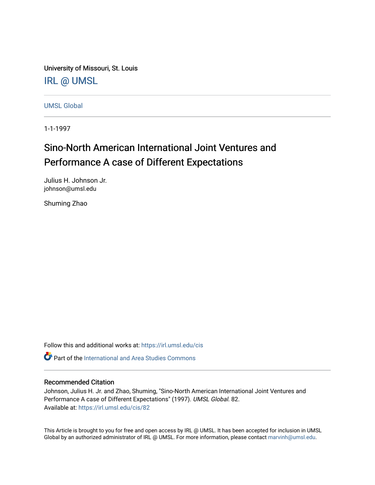University of Missouri, St. Louis [IRL @ UMSL](https://irl.umsl.edu/) 

[UMSL Global](https://irl.umsl.edu/cis)

1-1-1997

# Sino-North American International Joint Ventures and Performance A case of Different Expectations

Julius H. Johnson Jr. johnson@umsl.edu

Shuming Zhao

Follow this and additional works at: [https://irl.umsl.edu/cis](https://irl.umsl.edu/cis?utm_source=irl.umsl.edu%2Fcis%2F82&utm_medium=PDF&utm_campaign=PDFCoverPages) 

**C** Part of the International and Area Studies Commons

#### Recommended Citation

Johnson, Julius H. Jr. and Zhao, Shuming, "Sino-North American International Joint Ventures and Performance A case of Different Expectations" (1997). UMSL Global. 82. Available at: [https://irl.umsl.edu/cis/82](https://irl.umsl.edu/cis/82?utm_source=irl.umsl.edu%2Fcis%2F82&utm_medium=PDF&utm_campaign=PDFCoverPages) 

This Article is brought to you for free and open access by IRL @ UMSL. It has been accepted for inclusion in UMSL Global by an authorized administrator of IRL @ UMSL. For more information, please contact [marvinh@umsl.edu](mailto:marvinh@umsl.edu).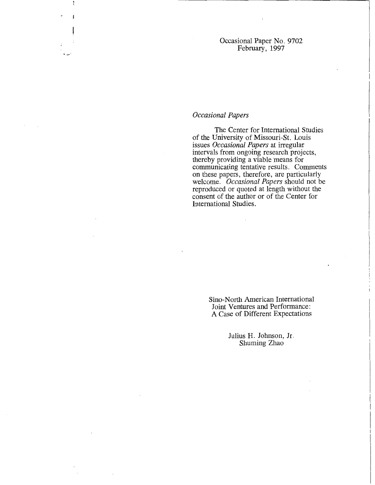Occasional Paper No. 9702 February, 1997

## *Occasional Papers*

"'-··

The Center for International Studies of the University of Missouri-St. Louis issues *Occasional Papers* at irregular intervals from ongoing research projects, thereby providing a viable means for communicating tentative results. Comments on these papers, therefore, are particularly welcome. *Occasional Papers* should not be reproduced or quoted at length without the consent of the author or of the Center for International Studies.

> Sino-North American International Joint Ventures and Performance: A Case of Different Expectations

> > Julius H. Johnson, Jr. Shuming Zhao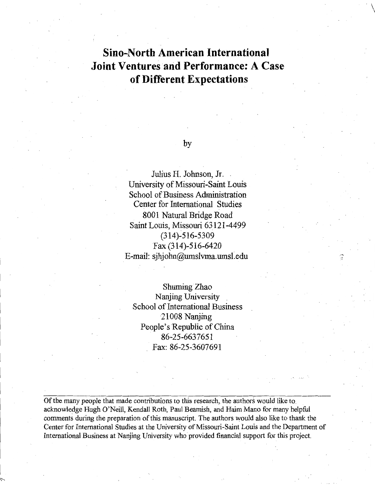# **Sino-North American International Joint Ventures arid Performance: A Case of Different Expectations**

## by

Julius H. Johnson, Jr. . University of Missouri-Saint Louis School of Business Administration Center for International Studies 8001 Natural Bridge Road Saint Louis, Missouri 63121-4499 (314)-516-5309 Fax (314)-516-6420 E-mail: sjhjohn@umslvma.umsl.edu

.-, ,,

 $\sqrt{ }$ 

Shuming Zhao Nanjing University School of International Business 21008 Nanjing People's Republic of China 86-25-6637651 Fax: 86-25-3607691

Of the many people that made contributions to this research, the authors would like to. acknowledge Hugh O'Neill, Kendall Roth, Paul Beamish, and Haim Mano for inany helpful comments during the preparation of this manuscript. The authors would also like to thank the Center for International Studies at the University of Missouri-Saint Louis and the Department of International Business at Nanjing University who provided financial support for this project.

 $\checkmark$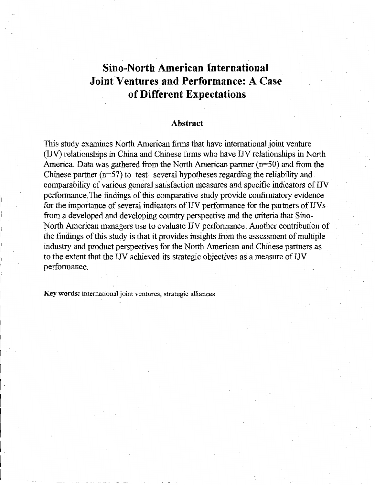# **Sino-North American International Joint Ventures and Performance: A Case of Different Expectations**

#### **Abstract**

This study examines North American firms that have international joint venture (IJV) relationships in China and Chinese firms who have IJV relationships in North America. Data was gathered from the North American partner (n=50) and from the Chinese partner  $(n=57)$  to test several hypotheses regarding the reliability and comparability of various general satisfaction measures and specific indicators of UV perfonnance. The findings of this comparative study provide confirmatory evidence for the importance of several indicators of UV performance for the partners of UV s from a developed and developing country perspective and the criteria that Sino-North American managers use to evaluate UV performance. Another contribution of the findings of this study is that it provides insights from the assessment of multiple industry and product perspectives for the North American and Chinese partners as to the extent that the IN achieved its strategic objectives as a measure of IJV performance.

· **Key words:** international joint ventures; strategic alliances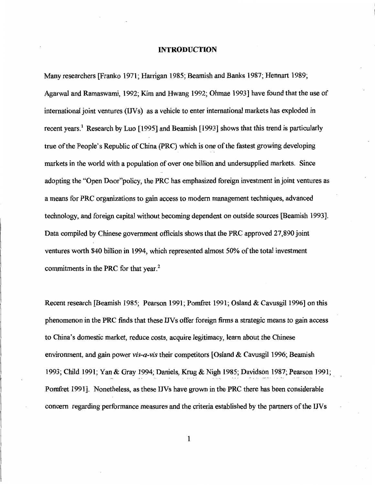#### **INTRODUCTION**

Many researchers [Franko 1971; Harrigan 1985; Beamish and Banks 1987; Hennart 1989; Agarwal and Ramaswami, 1992; Kim and Hwang 1992; Ohmae 1993] have found that the use of international joint ventures (IJVs) as a vehicle to enter international markets has exploded in recent years.<sup>1</sup> Research by Luo [1995] and Beamish [1993] shows that this trend is particularly true of the People's Republic of China (PRC) which is one of the fastest growing developing markets in the world with a population of over one billion and undersupplied markets. Since adopting the "Open Door"policy, the PRC has emphasized foreign investment in joint ventures as a means for PRC organizations to gain access to modern management techniques, advanced technology, and foreign capital without becoming dependent on outside sources [Beamish 1993]. Data compiled by Chinese government officials shows that the PRC approved 27,890 joint ventures worth \$40 billion in 1994, which represented almost 50% of the total investment commitments in the PRC for that year.<sup>2</sup>

Recent research [Beamish 1985; Pearson 1991; Pomfret 1991; Osland & Cavusgil 1996] on this phenomenon in the PRC finds that these IN s offer foreign firms a strategic means to gain access to China's domestic market, reduce costs, acquire legitimacy, learn about the Chinese environment, and gain power *vis-a-vis* their competitors [Osland & Cavusgil 1996; Beamish 1993; Child 1991; Yan & Gray 1994; Daniels, Krug & Nigh 1985; Davidson 1987; Pearson 1991; Pomfret 1991]. Nonetheless, as these IJVs have grown in the PRC there has been considerable concern regarding performance measures and the criteria established by the partners of the IN s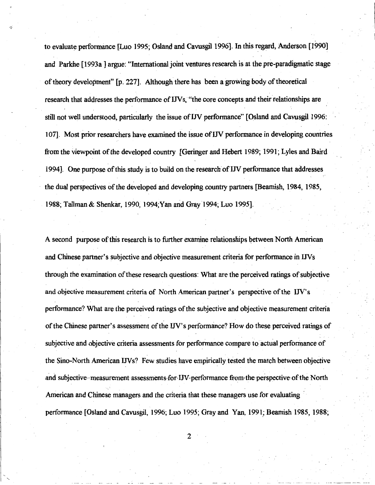to evaluate performance [Luo 1995; Osland and Cawsgil 1996]. In this regard, Anderson [1990] and Parkhe [1993a] argue: "International joint ventures research is at the pre-paradigmatic stage of theory development" [p. 227]. Although there has been a growing body of theoretical research that addresses the performance of IJVs, "the core concepts and their relationships are still not well understood, particularly the issue ofIN performance" [Osland and Cawsgil 1996: 107]. Most prior researchers have examined the issue of IN performance in developing countries from the viewpoint of the developed country [Geringer and Hebert 1989; 1991; Lyles and Baird 1994]. One purpose of this study is to build on the research of IJV performance that addresses the dual perspectives of the developed and developing country partners [Beamish, 1984, 1985, 1988; Tallman & Shenkar, 1990, 1994;Yan and Gray 1994; Luo 1995].

A second purpose ofthis research is to further examine relationships between North American and Chinese partner's subjective and objective measurement criteria for performance in INs through the examination of these research questions: What are the perceived ratings of subjective and objective measurement criteria of North American partner's perspective of the IN's performance? What are the perceived ratings of the subjective and objective measurement criteria of the Chinese partner's assessment of the UV' s performance? How do these perceived ratings of subjective and objective criteria assessments for performance compare to actual performance of the Sino-North American IJVs? Few studies have empirically tested the match between objective and subjective–measurement assessments for IJV-performance from the perspective of the North American and Chinese managers and the criteria that these managers use for evaluating performance [Osland and Cawsgil, 1996; Luo 1995; Gray and Yan, 1991; Beamish 1985, 1988;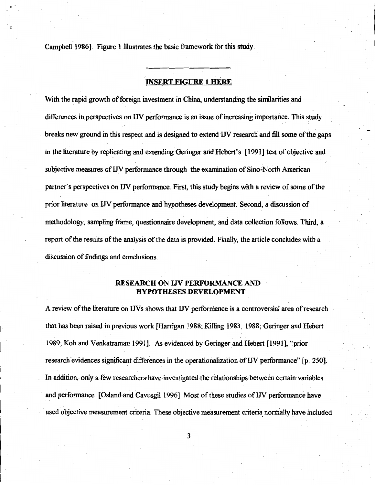Campbell 1986]. Figure l illustrates the basic framework for this study.

#### **INSERT FIGURE 1 HERE**

With the rapid growth of foreign investment in China, understanding the similarities and differences in perspectives on UV performance is an issue of increasing importance. This study breaks new ground in this respect and is designed to extend IJV research and fill some of the gaps in the literature by replicating and extending Geringer arid Hebert's [1991] test of objective and subjective measures of *IJV* performance through the examination of Sino-North American partner's perspectives on IN performance. First, this study begins with a review of some of the prior literature on IJV performance and hypotheses development. Second, a discussion of methodology, sampling frame, questionnaire development, and data collection follows. Third, a report of the results of the analysis of the data is provided. Finally, the article concludes with a discussion of findings and conclusions.

### **RESEARCH ON IJV PERFORMANCE AND HYPOTHESES.DEVELOPMENT**

A review of the literature on IN s shows that IN perfomiance is a controversial area of research that has been raised in previous work [Harrigan 1988; Killing 1983, 1988; Geringer and Hebert 1989; Koh and Venkatraman 1991]. As evidenced by Geringer and Hebert [1991], "prior research evidences significant differences in the operationalization of IN performance" [p. 250]. In addition, only a few-researchers-have-investigated the relationships-between certain variables and performance [ Osland and Cavusgil 1996]. Most of these studies of *IN* performance have used objective measurement criteria. These objective measurement criteria normally have included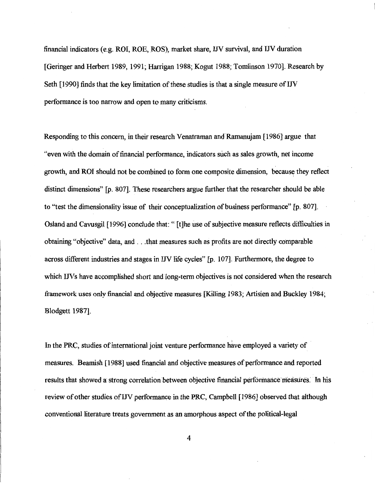financial indicators (e.g. ROI, ROE, ROS), market share, IJV survival, and UV duration [Geringer and Herbert 1989, 1991; Harrigan 1988; Kogut 1988; Tomlinson 1970]. Research by Seth [1990] finds that the key limitation of these studies is that a single measure of IJV performance is too narrow and open to many criticisms.

Responding to this concern, in their research V enatraman and Ramanujam [ 1986] argue that "even with the domain of financial performance, indicators such as sales growth, net income growth, and ROI should not be combined to form one composite dimension, because they reflect I distinct dimensions" [p. 807]. These researchers argue further that the researcher should be able to "test the dimensionality issue of their conceptualization of business performance" [p. 807]. Osland and Cavusgil [ 1996] conclude that: " [ t ]he use of subjective measure reflects difficulties in obtaining "objective" data, and ... that measures such as profits are not directly comparable across different industries and stages in IJV life cycles" [p. 107]. Furthermore, the degree to which IJVs have accomplished short and long-term objectives is not considered when the research framework uses only financial and objective measures [Killing 1983; Artisien and Buckley 1984; Blodgett 1987].

In the PRC, studies of international joint venture performance have employed a variety of measures. Beamish [1988] used financial and objective measures of performance and reported results that showed a strong correlation between objective financial performance measures. In his review of other studies of UV performance in the PRC, Campbell [1986] observed that although conventional literature treats government as an amorphous aspect of the political-legal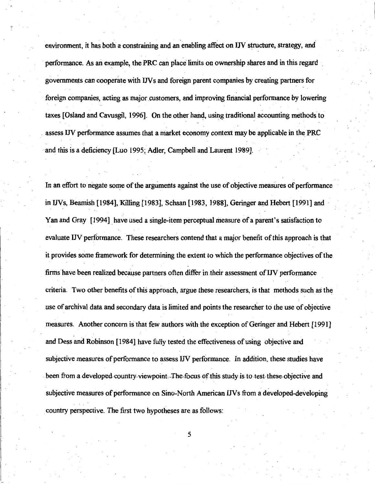environment, it has both a constraining and an enabling affect on IJV structure, strategy, and performance. As an example, the PRC can place limits on ownership shares and in this regard governments can cooperate with IN s and foreign parent companies by creating partners for foreign companies, acting as major customers, and improving financial performance by lowering taxes [Osland and Cavusgil, 1996]. On the other hand, using traditional accounting methods· to assess IN performance assumes that a market economy context may be applicable in the PRC ·and this is a deficiency [Luo 1995; Adler, Campbell and Laurent 1989].

In an effort to negate some of the arguments against the use of objective measures of performance in IJVs, Beamish [1984], Killing [1983], Schaan [1983, 1988], Geringer and Hebert [1991] and Yan and Gray [1994] have used a single-item perceptual measure of a parent's satisfaction to evaluate IJV performance. These researchers contend that a major benefit of this approach is that it provides some framework for determining the extent to which the performance objectives of the firms have been realized because partners often differ in their assessment of IJV performance criteria. Two other benefits of this approach, argue these researchers, is that methods such as the use of archival data and secondary data is limited and points the researcher to the use of objective measures. Another concern is that few authors with the exception of Geringer and Hebert [ 1991] and Dess and Robinson [1984] have fully tested the effectiveness of using objective and subjective measures of performance to assess IN performance. In addition, these studies have been from a developed-country-viewpoint. The focus of this study is to test these objective and subjective measures of performance on Sino-North American IJVs from a developed-developing country perspective. The first two hypotheses are as follows: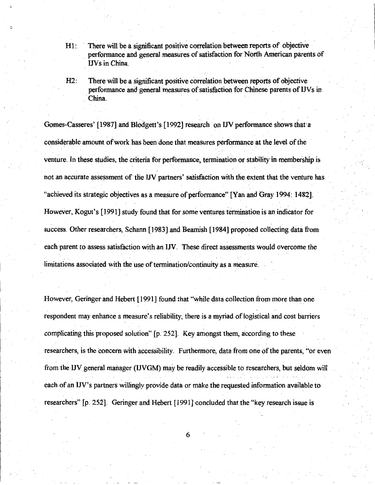- H1: There will be a significant positive correlation between reports of objective performance and general measures of satisfaction for North American parents of **IJVs** in China.
- H2: There will be a significant positive correlation between reports of objective performance and general measures of satisfaction for Chinese parents of IJVs in · China.

Gomes-Casseres' [1987] and Blodgett's [1992] research on IJV performance shows that a . The contract of the contract of the contract of the contract of the contract of the contract of the contract of the contract of the contract of the contract of the contract of the contract of the contract of the contrac considerable amount of work has been done that measures performance at the level of the venture. In these studies, the criteria for performance, termination or stability in membership is not an accurate assessment of the IJV partners' satisfaction with the extent that the venture has "achieved its strategic objectives as a measure of performance" [Yan and Gray 1994: 1482]. However, Kogut's [1991] study found that for some ventures termination is an indicator for success. Other researchers, Schann [1983] and Beamish [1984] proposed collecting data from each parent to assess satisfaction with an IN. These direct assessments would overcome the  $\mathbf{v} = \mathbf{v} \in \mathbb{R}^{n \times n}$  . In the set of  $\mathbf{v} = \mathbf{v}$  , we have the set of  $\mathbf{v} = \mathbf{v}$ limitations associated with the use of termination/continuity as a measure.

However, Geringer and Hebert [ 1991] found that "while data collection from more than one respondent may enhance a measure's reliability, there is a myriad of logistical and cost barriers complicating this proposed solution" [p. 252]. Key amongst them, according to these researchers, is the concern with accessibility. Furthermore, data from one of the parents, "or even from the IJV general manager (IJVGM) may be readily accessible to researchers, but seldom will each of an IJV's partners willingly provide data or make the requested information available to researchers" [p. 252]. Geringer and Hebert [1991] concluded that the "key research issue is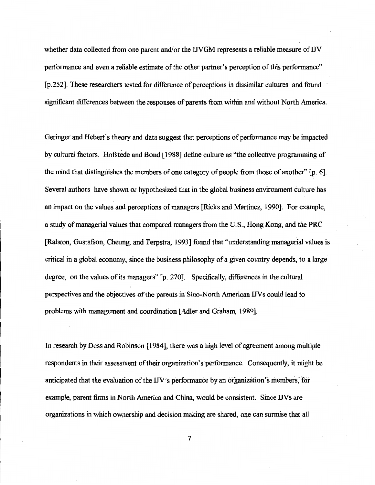whether data collected from one parent and/or the IJVGM represents a reliable measure of IJV performance and even a reliable estimate of the other partner's perception of this performance" [p.252]. These researchers tested for difference of perceptions in dissimilar cultures and found significant differences between the responses of parents from within and without North America.

Geringer and Hebert's theory and data suggest that perceptions of performance may be impacted by cultural factors. Hofstede and Bond [1988] define culture as "the collective programming of the mind that distinguishes the members of one category of people from those of another'' [p. 6]. Several authors have shown or hypothesized that in the global business environment culture has an impact on the values and perceptions of managers [Ricks and Martinez, 1990]. For example, a study of managerial values that compared managers from the U.S., Hong Kong, and the PRC [Ralston, Gustafson, Cheung, and Terpstra, 1993] found that "understanding managerial values is critical in a global economy, since the business philosophy of a given country depends, to a large degree, on the values of its managers" [p. 270]. Specifically, differences in the cultural perspectives and the objectives of the parents in Sino-North American INs could lead to problems with management and coordination [Adler and Graham, 1989].

In research by Dess and Robinson [ 1984 ], there was a high level of agreement among multiple respondents in their assessment of their organization's performance. Consequently, it might be anticipated that the evaluation of the IJV's performance by an organization's members, for example, parent firms in North America and China, would be consistent. Since *IN* s are organizations in which ownership and decision making are shared, one can surmise that all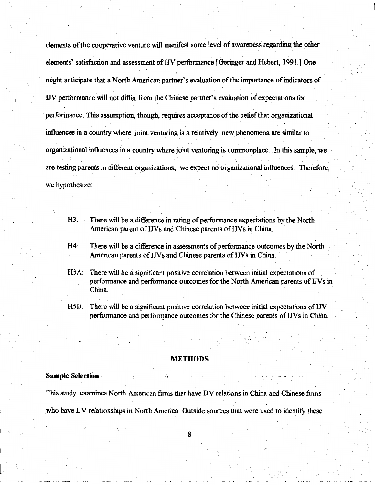elements of the cooperative venture will manifest some level of awareness regarding the other elements' satisfaction and assessment of IN performance [ Geringer and Hebert, 1991.] One might anticipate that a North American partner's evaluation of the importance of indicators of UV performance will not differ from the Chinese partner's evaluation of expectations for performance. This assumption, though, requires acceptance of the belief that organizational influences in a country where joint venturing is a relatively new phenomena are similar to organizational influences in a country where joint venturing is commonplace. In this sample, we are testing parents in different organizations; we expect no organizational influences. Therefore, we hypothesize:

- H3: There will be a difference in rating of performance expectations by the North American parent of IJVs and Chinese parents of IJVs in China.
- H4: There will be a difference in assessments of performance outcomes by the North American parents of IJVs and Chinese parents of IJVs in China.
- HSA: There will be a significant positive correlation between initial expectations of. performance and performance outcomes for the North American parents of IJVs in China.
- H5B: There will be a significant positive correlation between initial expectations of IJV performance and performance outcomes for the Chinese parents of IJVs in China.

#### **METHODS**

#### **Sample Selection**

. This study examines North American firms thathave IN relations in China and Chinese firms who have IJV relationships in North America. Outside sources that were used to identify these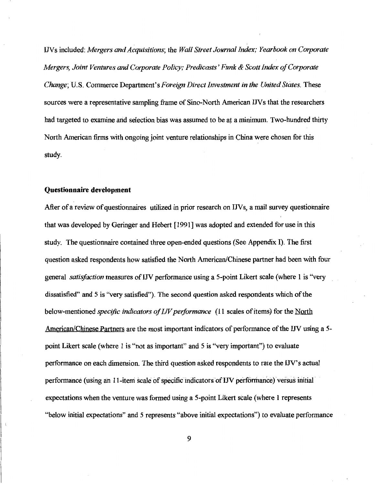INs included: *Mergers and Acquisitions;* the *Wall Street Journal Index; Yearbook on Corporate Mergers, Joint Ventures and Corporate Policy; Predicasts' Funk & Scott Index of Corporate Change;* U.S. Commerce Department's *Foreign Direct Investment in the United States.* These sources were a representative sampling frame of Sino-North American IJVs that the researchers had targeted to examine and selection bias was assumed to be at a minimum. Two-hundred thirty North American firms with ongoing joint venture relationships in China were chosen for this study.

#### **Questionnaire development**

After of a review of questionnaires utilized in prior research on IJVs, a mail survey questionnaire that was developed by Geringer and Hebert [ 1991] was adopted and extended for use in this study. The questionnaire contained three open-ended questions (See Appendix I). The first question asked respondents how satisfied the North American/Chinese partner had been with four general *satisfaction* measures *ofIN* performance using a 5-point Likert scale (where 1 is "very dissatisfied" and 5 is "very satisfied"). The second question asked respondents which of the below-mentioned *specific indicators of I.JV performance* (11 scales of items) for the North American/Chinese Partners are the most important indicators of performance of the IJV using a 5point Likert scale (where 1 is "not as important" and 5 is ''very important") to evaluate performance on each dimension. The third question asked respondents to rate the IN' s actual performance (using an 11-item scale of specific indicators of IJV performance) versus initial expectations when the venture was formed using a 5-point Likert scale (where 1 represents "below initial expectations" and 5 represents "above initial expectations") to evaluate performance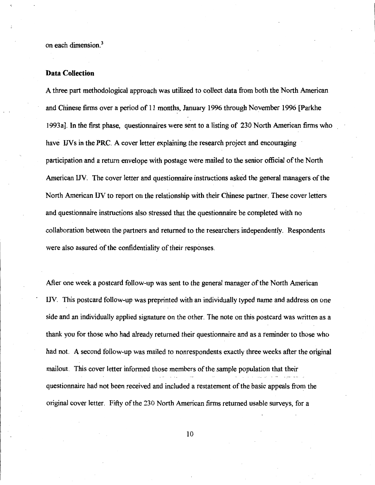on each dimension.<sup>3</sup>

#### **Data Collection**

A three part methodological approach was utilized to collect data from both the North American and Chinese firms over a period of 11 months, January 1996 through November 1996 [Parkhe 1993a]. In the first phase, questionnaires were sent to a listing of 230 North American firms who have IJVs in the PRC. A cover letter explaining the research project and encouraging participation and a return envelope with postage were mailed to the senior official of the North American IN. The cover letter and questionnaire instructions asked the general managers of the North American IN to report on the relationship with their Chinese partner. These cover letters and questionnaire instructions also stressed that the questionnaire be completed with no collaboration between the partners and returned to the researchers independently. Respondents were also assured of the confidentiality of their responses.

After one week a postcard follow-up was sent to the general manager of the North American UV. This postcard follow-up was preprinted with an individually typed name and address on one side and an individually applied signature on the other. The note on this postcard was written as a thank you for those who had already returned their questionnaire and as a reminder to those who had not. A second follow-up was mailed to nonrespondents exactly three weeks after the original mailout. This cover letter informed those members of the sample population that their questionnaire had not been received and included a restatement of the basic appeals from the original cover letter. Fifty of the 230 North American firms returned usable surveys, for a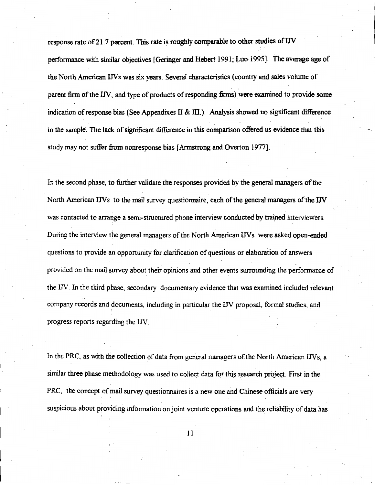response rate of 21.7 percent. This rate is roughly comparable to other studies of IJV performance with similar objectives [Geringer and Hebert 1991; Luo 1995]. The average age of the North American IJVs was six years. Several characteristics (country and sales volume of parent firm of the IJV, and type of products of responding firms) were examined to provide some indication of response bias (See Appendixes II & III.). Analysis showed no significant difference in the sample'. The lack of significant difference in this comparison offered us evidence that this study may not suffer from nonresponse bias [Armstrong and Overton 1977].

In the second phase, to further validate the responses provided by the general managers of the North American IJVs to the mail survey questionnaire, each of the general managers ofthe UV was contacted to arrange a semi-structured phone interview conducted by trained interviewers. During the interview the general managers of the North American IJVs were asked open-ended questions to provide an opportunity for clarification of questions or elaboration of answers provided on the mail survey about their opinions and other events surrounding the performance of the UV. In the third phase, secondary documentary evidence that was examined included relevant company records and documents, including in particular the IN proposal, formal studies, and progress reports regarding the IJV.

In the PRC, as with the collection of data from general managers of the North American IJVs, a similar three phase methodology was used to collect data for this research project. First in the PRC, the concept of mail survey questionnaires is a new one and Chinese officials are very suspicious about providing information on joint venture operations and the reliability of data has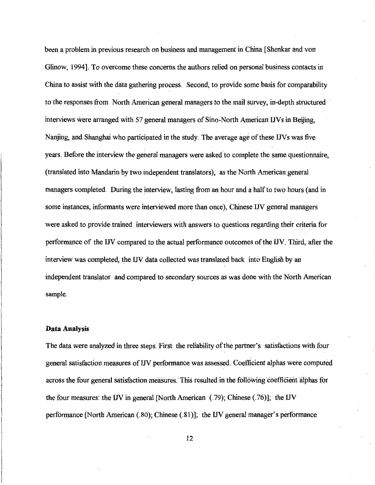been a problem in previous research on business and management in China [Shenkar and von Glinow; 1994]. To overcome these concerns the authors relied on personal business contacts in China to assist with the data gathering process. Second, to provide some basis for comparability to the responses from North American general managers to the mail survey, in-depth structured interviews were arranged with 57 general managers of Sino-North American UVs in Beijing, Nanjing, and Shanghai who participated in the study. The average age of these IJVs was five years. Before the interview the general managers were asked to complete the same questionnaire, (translated into Mandarin by two independent translators), as the North American general managers completed. During the interview, lasting from an hour and a half to two hours (and in some instances, informants were interviewed more than once), Chinese UV general managers were asked to provide trained interviewers with answers to questions regarding their criteria for performance of the UV compared to the actual performance outcomes of the UV. Third, after the interview was completed, the UV data collected was translated back into English by an independent translator and compared' to secondary sources as was done with the North American sample.

#### **Data Analysis**

The data were analyzed in three steps. First the reliability of the partner's satisfactions with four general satisfaction measures ofIJV performance was assessed. Coefficient alphas were computed across the four general satisfaction measures. This resulted in the following coefficient alphas for the four measures: the UV in general [North American (.79); Chinese (.76)]; the UV performance [North American (.80); Chinese (.81)]; the UV general manager's performance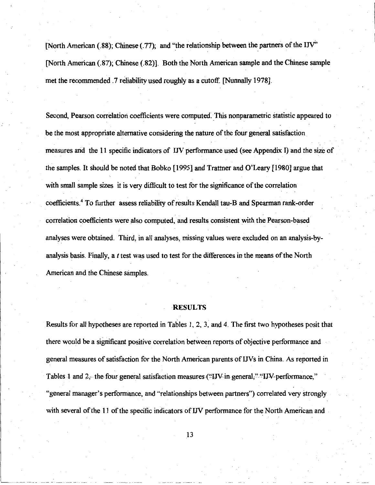[North American (.88); Chinese (.77); and "the relationship between the partners of the IJV" [North American (.87); Chinese (.82)]. Both the North American sample and the Chinese sample met the recommended .7 reliability used roughly as a cutoff. [Nunnally 1978].

Second, Pearson correlation coefficients were computed. This nonparametric statistic appeared to be the most appropriate alternative considering the nature of the four general satisfaction . measures and the 11 specific indicators of IJV performance used (see Appendix I) and the size of. the samples. It should be noted that Bobko [ 1995] and Trattner and O'Leary [ 1980] argue that with small sample sizes it is very difficult to test for the significance of the correlation coefficients. <sup>4</sup>To further assess reliability of results Kendall tau-B and Spearman rank-order correlation coefficients were also computed, and results consistent with the Pearson-based analyses were obtained. Third, in all analyses, missing values were excluded on an analysis-byanalysis basis. Finally, a  $t$  test was used to test for the differences in the means of the North American and the Chinese samples.

#### **RESULTS**

Results for all hypotheses are reported in Tables 1, 2, 3, and 4. The first two hypotheses posit that there would be a significant positive correlation between reports of objective performance and general measures of satisfaction for the North American parents of IJVs in China. As reported in Tables 1 and 2, the four general satisfaction measures ("IJV in general;" "IJV performance," "general manager's performance, and "relationships between partners") correlated very strongly with several of the 11 of the specific indicators of IJV performance for the North American and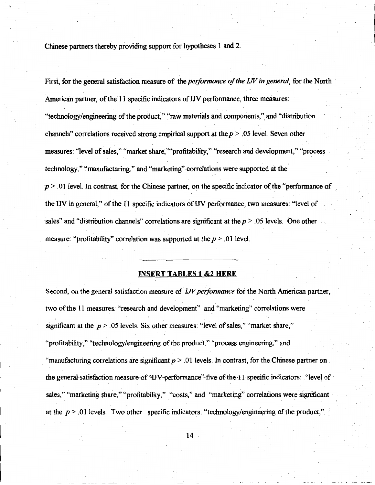Chinese partners thereby providing support for hypotheses 1 and 2.

First, for the general satisfaction measure of the *performance of the IJV in general*, for the North American partner, of the 11 specific indicators of IN performance, three measures: "technology/engineering of the product," "raw materials and components," and "distribution channels" correlations received strong empirical support at the *p* > .05 level. Seven other measures: "level of sales," "market share, '"'profitability," "research and development," "process technology," ''manufacturing," and "marketing"-correlations were supported at the  $p > 0.01$  level. In contrast, for the Chinese partner, on the specific indicator of the "performance of  $\overline{p}$ the UV in general," of the 11 specific indicators of IN performance, two measures: "level of sales" and "distribution channels" correlations are significant at the  $p > 0.05$  levels. One other measure: "profitability" correlation was supported at the *p* > .01 level.

#### **INSERT TABLES l &2 HERE**

Second, on the general satisfaction measure of !JV *performance* for the North American partner, two of the 11 measures: "research and development" and "marketing" correlations were significant at the  $p > 0.05$  levels. Six other measures: "level of sales," "market share," "profitability," "technology/engineering of the product," "process engineering," and "manufacturing correlations are significant  $p > 01$  levels. In contrast, for the Chinese partner on the general satisfaction measure of "IJV-performance" five of the 11 specific indicators: "level of sales," "marketing share," "profitability," "costs," and "marketing" correlations were significant at the  $p > 0.01$  levels. Two other specific indicators: "technology/engineering of the product,"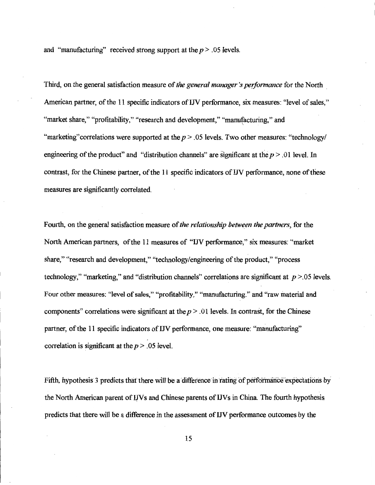and "manufacturing" received strong support at the  $p > 0.05$  levels.

Third, on the general satisfaction measure of *the general manager's performance* for the North , American partner, of the 11 specific indicators of UV performance, six measures: "level of sales," "market share," "profitability," "research and development," "manufacturing," and ' "marketing" correlations were supported at the  $p > 0.05$  levels. Two other measures: "technology engineering of the product" and "distribution channels" are significant at the  $p > 01$  level. In contrast, for the Chinese partner, of the 11 specific indicators of UV performance, none of these measures are significantly correlated.

Fourth, on the general satisfaction measure of *the relationship between the partners,* for the North American partners, of the 11 measures of "UV performance," six measures: "market share," "research and development," "technology/engineering of the product," "process technology," "marketing," and "distribution channels" correlations are significant at *p* >.05 levels. Four other measures: "level of sales," "profitability," "manufacturing." and "raw material and components" correlations were significant at the  $p > 0.01$  levels. In contrast, for the Chinese partner, of the 11 specific indicators ofIJV performance, one measure: "manufacturing" correlation is significant at the  $p > 0.05$  level.

Fifth, hypothesis 3 predicts that there will be a difference in rating of performance expectations by the North American parent of LIVs and Chinese parents of LIVs in China. The fourth hypothesis predicts that there will be a difference in the assessment of UV performance outcomes by the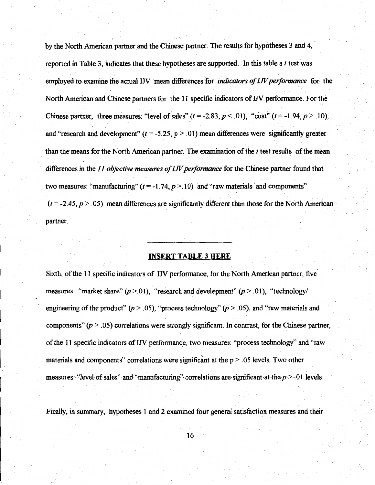by the North American partner and the Chinese partner. The results for hypotheses 3 and 4, reported in Table 3, indicates that these hypotheses are supported. In this table a  $t$  test was employed to examine the actual IJV mean differences for *indicators of IJV performance* for the North American and Chinese partners for the 11 specific indicators of IN performance. For the Chinese partner, three measures: "level of sales"  $(t = -2.83, p < .01)$ , "cost"  $(t = -1.94, p > .10)$ , and "research and development"  $(t = -5.25, p > .01)$  mean differences were significantly greater than the means for the North American partner. The examination of the *t* test results of the mean differences in the *11 objective measures of I.JV performance* for the Chinese partner found that two measures: "manufacturing"  $(t = -1.74, p > 10)$  and "raw materials and components"  $(t = -2.45, p > .05)$  mean differences are significantly different than those for the North American partner.

#### **INSERT TABLE 3 HERE**

Sixth, of the 11 specific indicators of IN performance, for the North American partner, five measures: "market share" *(p* >.01), "research and development" *(p* > .01), "technology/ engineering of the product"  $(p > .05)$ , "process technology"  $(p > .05)$ , and "raw materials and components" *(p* > .05) correlations were strongly significant. In contrast, for the Chinese partner, of the 11 specific indicators of IJV performance, two measures: "process technology" and "raw materials and components" correlations were significant at the  $p > .05$  levels. Two other measures: "level• of sales" and "manufacturing" correlations are significant at the  $p > 01$  levels.

Finally, in summary, hypotheses 1 and 2 examined four general satisfaction measures and their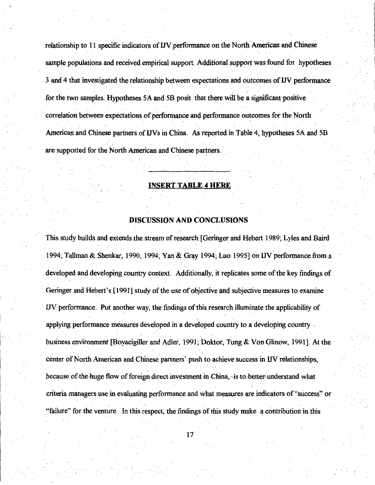relationship to 11 specific indicators of IJV performance on the North American and Chinese sample populations and received empirical support. Additional support was found for hypotheses 3 and 4 that investigated the relationship between expectations and outcomes of IJV performance for the two samples. Hypotheses SA and SB posit that there will be a significant positive .. . correlation between expectations of performance and performance outcomes for the North American and Chinese partners of IJVs in China. As reported in Table 4, hypotheses 5A and 5B are supported for the North American and Chinese partners.

### **INSERT TABLE 4 HERE**

### **DISCUSSION AND CONCLUSIONS**

This study builds and extends the stream of research [Geringer and Hebert 1989; Lyles and Baird 1994; Tallman & Shenkar, 1990, 1994; Yan & Gray 1994; Luo 199SJon IN performance from a developed and developmg country context. Additionally, it replicates some of the key findings of Geringer and Hebert's [1991] study of the use of objective and subjective measures to examine · IN performance. Put another way, the findings of this research illuminate the applicability of applying performance measures developed in a developed country to a developing country . business environment [Boyacigiller and Adler, 1991; Doktor, Tung & Von Glinow, 1991]. At the  $\bullet$  . However, the experimental contract of the experimental contract of the experimental contract of the experimental contract of the experimental contract of the experimental contract of the experimental contract of th center of North American and Chinese partners' push to achieve success in IN relationships, because of-the-huge-flow of foreign-direct-investment-in-China, -is-to-better-understand-what criteria managers use in evaluating performance and what measures are indicators of"success" or "failure" for the venture. -In this respect, the findings of this study make ~ contribution in this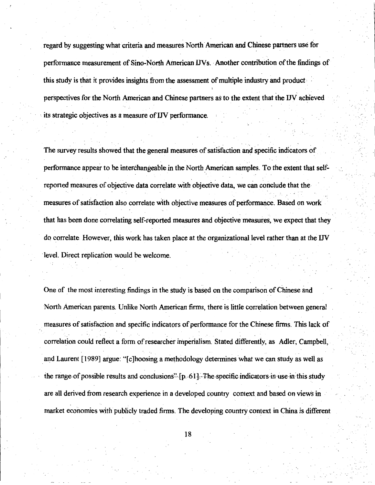regard by suggesting what criteria and measures North American and Chinese partners use for performance measurement of Sino-North American IJVs. Another contribution of the findings of this study is that it provides insights from the assessment of multiple industry and product perspectives for the North American and Chinese partners as to the extent that the IN achieved its strategic objectives as a measure of IJV performance.

The survey results showed that the general measures of satisfaction and specific indicators of performance appear to be interchangeable in the North American samples. To the extent that selfreported measures of objective data correlate with objective data, we can conclude that the measures of satisfaction also correlate with objective measures of performance. Based on work that has been done correlating self-reported measures and objective measures, we expect that they do correlate. However, this work has taken place at the organizational level rather than at the IN level. Direct replication would be welcome.

One of the most interesting findings in the study is based on the comparison of Chinese and North American parents. Unlike North American firms, there is little correlation between general measures of satisfaction and specific indicators of performance for the Chinese firms. This lack of correlation could reflect a form of researcher imperialism. Stated differently, as Adler; Campbell, . . . and Laurent [1989] argue: "[c]hoosing a methodology determines what we can study as well as the range of possible results and conclusions"- $[p, 61]$ . The specific indicators in use-in-this study are all derived from research experience in a developed country context and based on views in market economies with publicly traded firms. The developing country context in China is different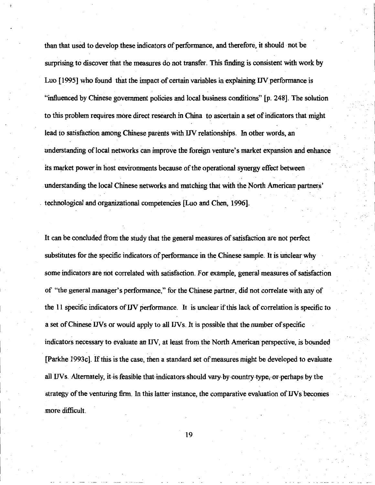than that used to develop these indicators of performance, and therefore, it should not be surprising to discover that the measures do not transfer. This finding is consistent with work by Luo [ 1995] who found that the impact-of certain variables in explaining IN performance is "influenced by Chinese government policies and local business conditions" [p. 248]. The solution to this problem requires more direct research in China to ascertain a set of indicators that might lead to satisfaction among Chinese parents with IJV relationships. In other words, an understanding of local networks can improve the foreign venture's market expansion and enhance its market power in host environments because of the operational synergy effect between understanding the local Chinese networks and matching that with the North American partners' . technological and organizational competencies [Luo and.Chen, 1996].

It can be concluded from the study that the general measures of satisfaction are not perfect substitutes for the specific indicators of performance in the Chinese sample. It is unclear-why some indicators are not correlated with satisfaction. For example, general measures of satisfaction of "the general manager's performance," for the Chinese partner, did not correlate with any of the 11 specific indicators of IN performance. It is unclear if this lack of correlation is specific to a set of Chinese IJVs or would apply to all IJVs. It is possible that the number of specific indicators necessary to evaluate an IN, at least from the North American perspective, is bounded [Parkhe 1993c]. If this is the case, then a standard set of measures might be developed to evaluate all IJVs. Alternately, it-is feasible that indicators should vary by-country-type, or-perhaps by the strategy of the venturing firm. In this latter instance, the comparative evaluation of IJVs becomes more difficult.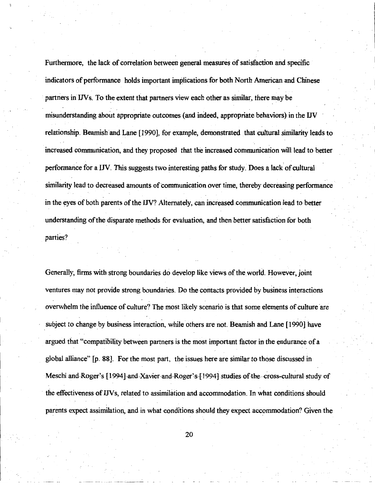Furthermore, the lack of correlation between general measures of satisfaction and specific indicators of performance holds important implications for both North American and Chinese partners in IJVs. To the extent that partners view each other as similar, there may be misunderstanding about appropriate outcomes ( and indeed, appropriate behaviors) in the IJV relationship. Beamish and Lane [1990], for example, demonstrated that cultural similarity leads to increased communication, and they proposed that the increased communication will lead to better performance for a IJV. This suggests two interesting paths for study. Does a lack of cultural similarity lead to decreased amounts of communication over time, thereby decreasing performance in the eyes of both parents of the IJV? Alternately, can increased.communication lead to better understanding of the disparate methods for evaluation, and then better satisfaction for both parties?

Generally, firms with strong boundaries do develop like views of the world. However, joint ventures may not provide strong boundaries. Do the contacts provided by business interactions overwhelm the influence of culture? The most likely scenario is that some elements of culture are subject to change by business interaction, while others are not. Beamish and Lane [ 1990] have argued that "compatibility between partners is the most important factor in the endurance of a global alliance" [p. 88]. For the most part, the issues here are similar to those discussed in Meschi and Roger's [1994] and Xavier and Roger's [1994] studies of the cross-cultural study of the effectiveness of *IJVs*, related to assimilation and accommodation. In what conditions should parents expect assimilation, and in what conditions should they expect accommodation? Given the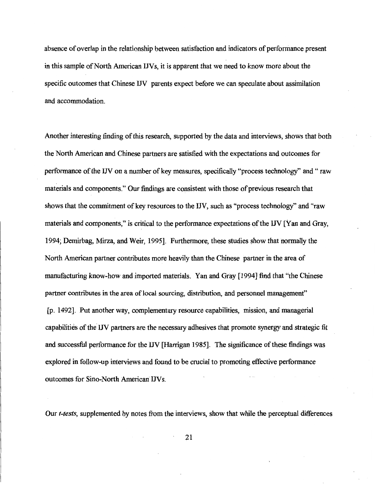absence of overlap in the relationship between satisfaction and indicators of performance present in this sample of North American IJVs, it is apparent that we need to know more about the specific outcomes that Chinese IJV parents expect before we can speculate about assimilation and accommodation.

Another interesting finding of this research, supported by the data and interviews, shows that both the North American and Chinese partners are satisfied with the expectations and outcomes for performance of the IJV on a number of key measures, specifically "process technology" and " raw materials and components." Our findings are consistent with those of previous research that shows that the commitment of key resources to the IN, such as "process technology" and "raw materials and components," is critical to the performance expectations of the IJV [Yan and Gray, 1994; Demirbag, Mirza, and Weir, 1995]. Furthermore, these studies show that normally the North American partner contributes more heavily than the Chinese partner in the area of manufacturing know-how and imported materials. Yan and Gray [1994] find that "the Chinese partner contributes in the area of local sourcing, distribution, and personnel management" [p. 1492]. Put another way, complementary resource capabilities, mission, and managerial capabilities of the IN partners are the necessary adhesives that promote synergy and strategic fit and successful performance for the IJV [Harrigan 1985]. The significance of these findings was explored in follow-up interviews and found to be crucial to promoting effective performance outcomes for Sino-North American IJVs.

Our *t-tests,* supplemented by notes from the interviews, show that while the perceptual differences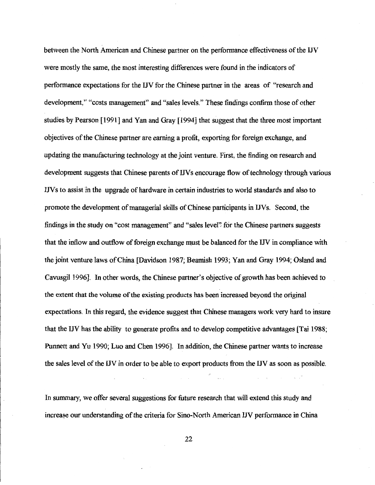between the North American and Chinese partner on the performance effectiveness of the IJV were mostly the same, the most interesting differences were found in the indicators of performance expectations for the IJV for the Chinese partner in the areas of "research and development," "costs management" and "sales levels." These findings confirm those of other studies by Pearson [1991] and Yan and Gray [1994] that suggest that the three most important objectives of the Chinese partner are earning a profit, exporting for foreign exchange, and updating the manufacturing technology at the joint venture. First, the finding on research and development suggests that Chinese parents of IJVs encourage flow of technology through various IJV s to assist in the upgrade of hardware in certain industries to world standards and also to promote the development of managerial skills of Chinese participants in IJVs. Second, the findings in the study on "cost management" and "sales level" for the Chinese partners suggests that the inflow and outflow of foreign exchange must be balanced for the IJV in compliance with the joint venture laws of China [Davidson 1987; Beamish 1993; Yan and Gray 1994; Osland and Cavusgil 1996]. In other words, the Chinese partner's objective of growth has been achieved to the extent that the volume of the existing products has been increased beyond the original expectations. In this regard; the evidence suggest that Chinese managers work very hard to insure that the IJV has the ability to generate profits and to develop competitive advantages [Tai 1988; Punnett and Yu 1990; Luo and Chen 1996]. In addition, the Chinese partner wants to increase the sales level of the IJV in order to be able to export products from the IJV as soon as possible.

In summary, we offer several suggestions for future research that will extend this study and increase our understanding of the criteria for Sino-North American IJV performance in China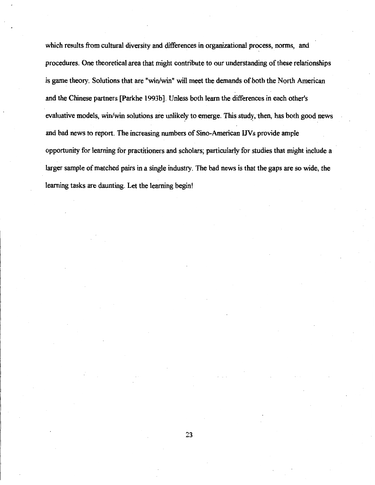which results from cultural diversity and differences in organizational process, norms, and procedures. One theoretical area that might contribute to our understanding of these relationships is game theory. Solutions that are "win/win" will meet the demands of both the North American and the Chinese partners [Parkhe 1993b]. Unless both learn the differences in each other's evaluative models, win/win solutions are unlikely to emerge. This study, then, has both good news and bad news to report. The increasing numbers of Sino-American IJVs provide ample opportunity for learning for practitioners and scholars; particularly for studies that might include a larger sample of matched pairs in a single industry. The bad news is that the gaps are so wide, the learning tasks are daunting. Let the learning begin!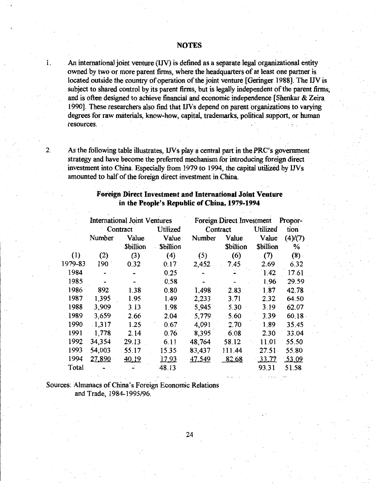- 1. An international joint venture (IJV) is defined as a separate legal organizational entity owned by two or more parent firms, where the headquarters of at least one partner is located outside the country of operation of the joint venture [Geringer 1988]. The IJV is subject to shared control by its parent firms, but is legally independent of the parent firms, and is often designed to achieve financial and economic independence [Shenkar & Zeira 1990]. These researchers also find that INs depend on parent organizations to varying degrees for raw materials, know-how, capital, trademarks, political support, or human resources.
- 

2. As the following table illustrates, IJVs play a central part in the **PRC's** goverrunent strategy and have become the preferred mechanism for introducing foreign direct investment into China. Especially from 1979 to 1994, the capital utilized by IJVs amounted to half of the foreign direct investment in China.

## **Foreign Direct Investment and International Joint Venture in the People's Republic of China, 1979-1994**

|         | <b>International Joint Ventures</b> |                 |                 | <b>Foreign Direct Investment</b> |                 | Propor-         |         |
|---------|-------------------------------------|-----------------|-----------------|----------------------------------|-----------------|-----------------|---------|
|         |                                     | Contract        | Utilized        | Contract                         |                 | Utilized        | tion    |
|         | Number                              | Value           | Value           | Number                           | Value           | Value           | (4)/(7) |
|         |                                     | <b>Sbillion</b> | <b>Sbillion</b> |                                  | <b>Sbillion</b> | <b>Sbillion</b> | %       |
| (1)     | (2)                                 | (3)             | (4)             | (5)                              | (6)             | (7)             | (8)     |
| 1979-83 | 190                                 | 0.32            | 0.17            | 2,452                            | 7.45            | 2.69            | 6.32    |
| 1984    |                                     |                 | 0.25            |                                  |                 | 1.42            | 17.61   |
| 1985    |                                     |                 | 0.58            |                                  |                 | 1.96            | 29.59   |
| 1986    | 892                                 | 1.38            | 0.80            | 1,498                            | 2.83            | 1.87            | 42.78   |
| 1987    | 1,395                               | 1.95            | 1.49            | 2,233                            | 3:71            | 2.32            | 64.50   |
| 1988    | 3,909                               | 3.13            | 1.98            | 5,945                            | 5.30            | 3.19            | 62.07   |
| 1989    | 3,659                               | 2.66            | 2.04            | 5,779                            | 5.60            | 3.39            | 60.18   |
| 1990    | $-1,317$                            | 1.25            | 0.67            | 4,091                            | 2.70            | 1.89            | 35.45   |
| 1991    | 1,778                               | 2.14            | $-0.76$         | 8,395                            | 6.08            | 2.30            | 33.04   |
| 1992    | 34,354                              | 29.13           | 6.11            | 48,764                           | 58.12           | 11.01           | 55.50   |
| 1993    | 54,003                              | 55.17           | 15.35           | 83,437                           | 111.44          | 27.51           | 55.80   |
| 1994    | 27,890                              | 40.19           | 17.93           | 47,549                           | 82.68           | 33.77           | 53.09   |
| Total   |                                     |                 | 48.13           |                                  |                 | 93.31           | 51.58   |

Sources: Almanacs of China's Foreign Economic Relations and Trade, 1984-1995/96.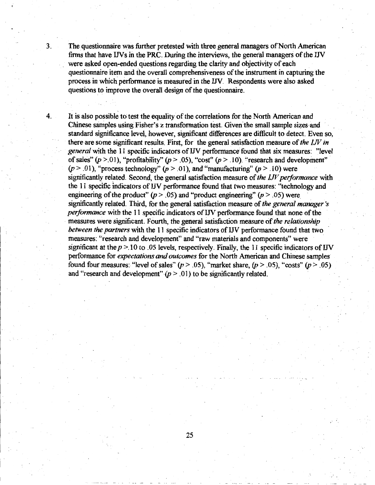3. The questionnaire was further pretested with three general managers of North Amencan firms that have INs in the PRC. During the interviews, the general managers of the IN were asked open-ended questions regarding the clarity and objectivity of each questionnaire item and the overall comprehensiveness of the instrument in capturing the process in which performance is measured in the IN. Respondents were also asked questions to improve the overall design of the questionnaire.

4. It is also possible to test the equality of the correlations for the North American and Chinese samples using Fisher's z transformation test. Given the small sample sizes and standard significance level, however, significant differences are difficult to detect. Even so, there are some significant results. First, for the general satisfaction measure of *the I.JV in general* with the 11 specific indicators of IN performance found that six measures: "level of sales"  $(p > 01)$ , "profitability"  $(p > .05)$ , "cost"  $(p > .10)$ . "research and development"  $(p > .01)$ , "process technology"  $(p > .01)$ , and "manufacturing"  $(p > .10)$  were significantly related. Second, the general satisfaction measure of *the I.JV performance* with the 11 specific indicators of UV performance found that two measures: "technology and engineering of the product"  $(p > .05)$  and "product engineering"  $(p > .05)$  were significantly related. Third, for the general satisfaction measure of *the general manager 's performance* with the 11 specific indicators of IJV performance found that none of the measures were significant. Fourth, the general satisfaction measure of *the relationship between the partners* with the 11 specific indicators of UV performance found that two measures: "research and development" and "raw materials and components" were significant at the  $p > 10$  to .05 levels, respectively. Finally, the 11 specific indicators of IJV performance for *expectations* and *outcomes* for the North American and Chinese samples found four measures: "level of sales"  $(p > .05)$ , "market share,  $(p > .05)$ , "costs"  $(p > .05)$ and "research and development"  $(p > 01)$  to be significantly related.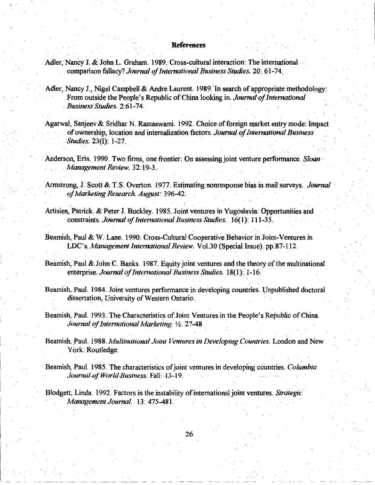#### **References**

- Adler, Nancy J. & John L. Graham. 1989. Cross-cultural interaction: The international.· comparison fallacy? *Journal of International Business Studies.* 20: 61-74.
- Adler, Nancy J., Nigel Campbell & Andre Laurent. 1989. In search of appropriate methodology: From outside the People's Republic of China looking in. *Journal of International*  . *Business Studies.* 2:61-74.
- Agarwal, Sanjeev & Sridhar N. Ramaswami. 1992. Choice of foreign market entry mode: Impact of ownership, location arid internalization factors. *Journal of International Business Studies.* 23(I): 1-27.
- . Anderson, Erin. 1990. Two firms, one frontier: On assessing joint venture performance. *Sloan·*  Management Review. 32:19-3.
- Armstrong, J. Scott & T. S. Overton. 1977. Estimating nonresponse bias in mail surveys. *Journal·* · *of Marketing Research. August:* 396-42.
- Artisien, Patrick. & Peter J. Buckley. 1985. Joint ventures in Yugoslavia: Opportunities and · constraints. *Journal of Internationa/Business Studies.* 16( 1): 111-3 5.
- Beamish, Paul & W. Lane. 1990. Cross-Cultural Cooperative Behavior in Joint-Ventures in LDC's. *Management International Review.* Vol.30 (Special Issue):pp:87-112.
- Beamish, Paul & John C. Banks. 1987. Equity joint ventures and the theory of the multinational enterprise. *Journal of International Business Studies.* 18(1): 1-16.
- Beamish, Paul: 1984. Joint ventures performance in developing countries. Unpublished doctoral dissertation, University of Western Ontario.
- Beamish, Paul. 1993. The Characteristics of Joint Ventures in the People's Republic of China. *Journal of International Marketing.* ½: 27-48 \_
- Beamish, Paul. 1988. *Multinational Joint Ventures in Developing Countries*. London and New York: Routledge.
- Beamish, Paul. 1985. The characteristics of joint ventures in developing countries. *Columbia Journal of World-Business.* Fall: -13-19.
- Blodgett, Linda. 1992. Factors in the instability of international joint ventures. *Strategic· Management Journal.* 13: 475-481.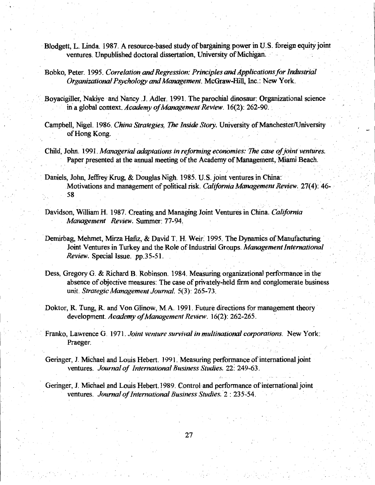- · Blodgett, L. Linda. 1987. A resource-based study of bargaining power in U.S. foreign equity joint ventures. Unpublished doctoral dissertation, University of Michigan.
- Bobko, Peter. 1995. *Correlation and Regression: Principles and Applications for Industrial Organizational Psychology and Management.* McGraw-Hill, Inc.: New York.
- Boyacigiller, Nakiye and Nancy .J. Adler. 1991. The parochial dinosaur: Organizational science in a global context. *Academy of Management Review.* 16(2): 262-90.
- Campbell, Nigel. 1986. *China Strategies, The Inside Story.* University of Manchester/University of Hong Kong.
- Child, John. 1991. *Managerial adaptations in reforming economies: The case of joint ventures.*  Paper presented at the annual meeting of the Academy of Management, Miami Beach.
- Daniels, John, Jeffrey Krug, & Douglas Nigh. 1985. U.S. joint ventures in China: Motivations and management of political risk. *California Management Review*. 27(4): 46-58
- Davidson, William H. 1987. Creating and Managing Joint Ventures in China. *California Management Review.* Summer: 77-94:
- Demirbag, Mehmet, Mirza Hafiz, & David T. H. Weir. 1995. The Dynamics of Manufacturing Joint Ventures in Turkey and the Role of Industrial Groups. Management International *Review.* Special Issue. pp.35-51.
- Dess, Gregory G. & Richard B. Robinson. 1984. Measuring organizational performance in the absence of objective measures: The case of privately-held firm and conglomerate business unit. Strategic Management Journal. 5(3): 265-73.

. .

- Doktor, R. Tung, R. and Von Glinow, M.A. 1991. Future directions for management theory· development. *Academy of Management Review.* 16(2): 262-265.
- · Franko, Lawrence G. 1971. *Joint venture survival in multinational corporations.* New York: Praeger.
- Geringer, J. Michael and Louis Hebert. 1991. Measuring performance of international joint ventures. *Journal of International Business Studies.* 22: 249-63.
- Geringer, J. Michael and Louis Hebert. 1989. Control and performance of international joint ventures. *Journal of International Business Studies.* 2 : 235-54.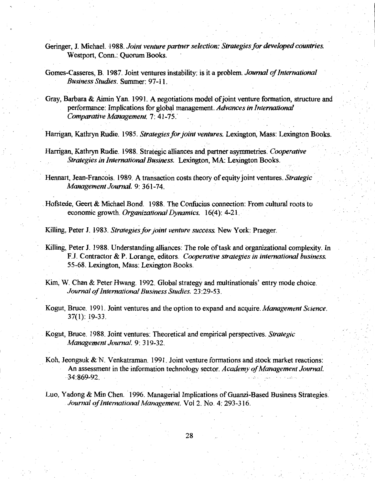- Geringer, J. Michael. 1988. *Joint venture partner selection: Strategies for developed countries.*  Westport, Conn.: Quorum Books.
- Gomes-Casseres, B. 1987. Joint ventures instability: is it-a problem. *Journal of International Business Studies.* Summer: 97-11.
- Gray, Barbara & Aimin Yan. 1991. A negotiations model of joint venture formation, structure and performance: Implications for global management. *Advances in International Comparative Management.* 7: 41-75.· ·

Harrigan, Kathryn Rudie. 1985. *Strategies for joint ventures.* Lexington, Mass: Lexington Books.

Harrigan, Kathryn Rudie. 1988. Strategic alliances and partner asymmetries. *Cooperative Strategies in International Business.* Lexington, MA: Lexington Books.

Hennart, Jean-Francois. 1989. A transaction costs theory of equity joint ventures. *Strategic Management Journal.* 9: 361-74. ·

. Hofstede, Geert & Michael Bond. 1988. The Confucius connection: From cultural roots to economic growth. *Organizational Dynamics.* 16(4): 4-21.

Killing, Peter J. 1983. *Strategies for joint venture success*. New York: Praeger.

- Killing, Peter J. 1988. Understanding alliances: The role of task and organizational complexity. In F J. Contractor & P. Lorange, editors. *Cooperative strategies in international business.*  55-68. Lexington, Mass: Lexington Books.
- Kim, W. Chan & Peter Hwang. 1992. Global strategy and multinationals' entry mode choice. *Journal of International Business Studies.* 23:29-53.
- Kogut, Bruce. 1991. Joint ventures and the option to expand and acquire. *Management Science.*  37(1): 19-33 .
- Kogut, Bruce. 1988. Joint ventures: Theoretical and empirical perspectives. Strategic *Management Journal.* 9: 319-32.
- Koh, Jeongsuk & N. Venkatraman. 1991. Joint venture formations and stock market reactions: An assessment in the information technology sector. *Academy of Management Journal.*  34:869-92.
- Luo, Yadong & Min Chen. 1996. Managerial Implications of Guanzi-Based Business Strategies. *Journal of International Management.* Vol 2. No. 4: 293-316.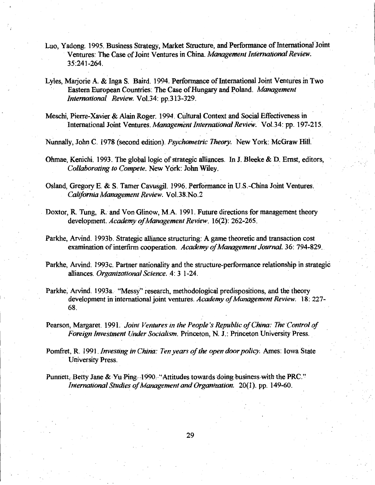- Luo, Yadong. 1995. Business Strategy, Market Structure, and Performance of International Joint Ventures: The Case of Joint Ventures in China. *Management International Review.*  35:241-264.
- Lyles, Marjorie A. & Inga S. Baird. 1994. Performance of International Joint Ventures in Two Eastern European Countries: The Case of Hungary and Poland. *Management International Review.* Vol.34: pp.313-329.
- Meschi, Pierre-Xavier & Alain Roger. 1994. Cultural Context and Social Effectiveness in International Joint Ventures. *Management International Review.* Vol.34: pp. 197-215.

. The second constraints of the constraints of the constraints of the constraints of the constraints of the constraints of the constraints of the constraints of the constraints of the constraints of the constraints of the

Nunnally, John C. 1978 (second edition). *Psychometric Theory.* New York: McGraw Hili..

Ohmae, Kenichi. 1993. The global logic of strategic alliances. In J. Bleeke & D. Ernst, editors, *Collaborating to Compete.* New York: John Wiley.

Osland, Gregory E. & S. Tamer Cavusgil. 1996. Performance in U.S.-China Joint Ventures. *California Management Review.* Vol.38.No.2 ·

- Doxtor, R. Tung, R. and Von Glinow, M.A. 1991. Future directions for management theory development. *Academy of Management Review.* 16(2): 262-265.
- Parkhe, Arvind. 1993b. Strategic alliance structuring: A game theoretic and transaction cost examination of interfirm cooperation. *Academy of Management Journal.* 36: 794-829.
- Parkhe, Arvind'. 1993c. Partner nationality and the structure-performance relationship in strategic alliances. *Organizational Science.* 4: 3 1-24.
- Parkhe, Arvind. 1993a. "Messy" research, methodological predispositions, and the theory development in international joint ventures. *Academy of Management Review.* 18: 227- 68.
- Pearson, Margaret. 1991. *Joint Ventures in the People's Republic of China: The Control of Foreign Investment Under Socialism.* Princeton, N. J.: Princeton University Press.

Pomfret, R. 1991. *Investing in China: Ten years of the open door policy.* Ames: Iowa State University Press.

Punnett, Betty Jane & Yu-Ping.-1990. "Attitudes towards doing-business with the PRC." *International Studies of Management and Organization.* 20(1). pp. 149-60.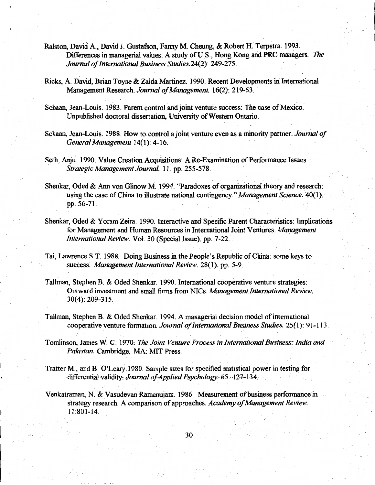- Ralston, David A., David J. Gustafson, Fanny M. Cheung, & Robert H. Terpstra. 1993. Differences in managerial values: A study of U<sub>.</sub>S., Hong Kong and PRC managers. *The Journal of International Business Studies.24(2):* 249-275.
- Ricks, A. David, Brian Toyne & Zaida Martinez. 1990. Recent Developments in International. Management Research. *Journal of Management.* 16(2): 219-53.
- Schaan, Jean-Louis. 1983. Parent control and joint venture success: The case of Mexico. Unpublished doctoral dissertation, University of Western Ontario.
- Schaan, Jean-Louis. 1988. How to control a joint venture even as a minority partner. *Journal of Genera/Management* 14(1): 4-16.
- Seth, Anju. 1990. Value Creation Acquisitions: A Re-Examination of Performance Issues. *Strategic Management Journal.* 11. pp. 255-578.
- Shenkar, Oded & Ann von Glinow M. 1994. "Paradoxes of organizational theory and research: using the case of China to illustrate national contingency." *Management Science.* 40(1). pp. 56-71.
- Shenkar, Oded & Yoram Zeira. 1990. Interactive and Specific Parent Characteristics: Implications for Management and Human Resources in International Joint Ventures. Management *International Review.* Vol. 30 (Special Issue). pp. 7-22.
- Tai, Lawrence S.T. 1988. Doing Business in the People's Republic of China: some keys to success. *Management International Review.* 28(1). pp. 5-9.
- Tallman, Stephen B. & Oded Shenkar. 1990. International cooperative venture strategies: Outward investment and small firms from NICs. *Management International Review*. 30(4): 209-315.\_
- Tallman, Stephen B. & Oded Shenkar. 1994. A managerial decision model ofintemational cooperative venture formation. *Journal of International Business Studies.* 25( 1): 91-113.
- Tomlinson, James W. C. 1970: *The Joint Venture Process in International Business: India* and *Pakistan.* Cambridge, MA: MIT Press.
- Tratter M., and B. O'Leary.1980. Sample sizes for specified statistical power in testing for -differential validity:- *JoumalofApplied Psychology.-65:··127-134.* ··· ·
- Venkatraman, N. & Vasudevan Ramanujam. 1986. Measurement of business performance in strategy research. A comparison of approaches. *Academy of Management Review.*  11:801-14.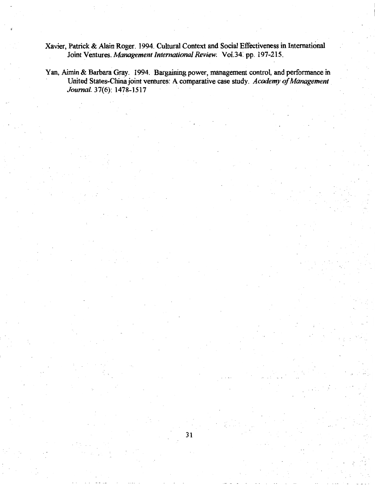Xavier, Patrick &.Alain Roger. 1994. Cultural Context and Social Effectiveness in International Joint Ventures. *Management International Review.* Vol.34: pp. 197-215.

Yan, Aimin & Barbara Gray. 1994. Bargaining power, management control, and performance in United States-China joint ventures: A comparative case study. *Academy of Management* . *Journal.* 37(6): 1478-1517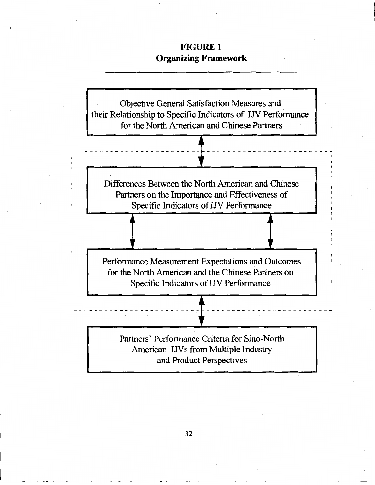# **FIGURE 1 Organizing Framework**

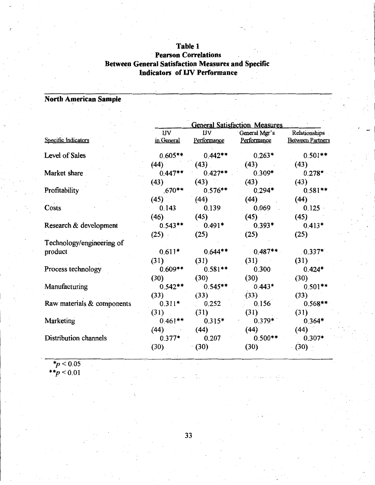# **Table 1**  · **Pearson Correlations Between General Satisfaction Measures.and.Specific Indicators of UV Performance**

# **North American Sample**

|                            |             |             | <b>General Satisfaction Measures</b> |                         |
|----------------------------|-------------|-------------|--------------------------------------|-------------------------|
|                            | $\cdot$ IJV | <b>IJV</b>  | General Mgr's                        | Relationships           |
| Specific Indicators        | in General  | Performance | Performance                          | <b>Between Partners</b> |
| Level of Sales             | $0.605**$   | $0.442**$   | $0.263*$                             | $0.501**$               |
|                            | (44)        | (43)        | (43)                                 | (43)                    |
| Market share               | $0.447**$   | $0.427**$   | $0.309*$                             | $0.278*$                |
|                            | (43)        | (43)        | (43)                                 | (43)                    |
| Profitability              | $.670**$    | $0.576**$   | $0.294*$                             | $0.581**$               |
|                            | (45)        | (44)        | (44)                                 | (44)                    |
| Costs                      | 0.143       | 0.139       | 0.069                                | $0.125 -$               |
|                            | (46)        | (45)        | (45)                                 | (45)                    |
| Research & development     | $0.543**$   | $0.491*$    | $0.393*$                             | $0.413*$                |
|                            | $(25)$ .    | (25)        | (25)                                 | (25)                    |
| Technology/engineering of  |             |             |                                      |                         |
| product                    | $0.611*$    | $0.644**$   | $0.487**$                            | $0.337*$                |
|                            | (31)        | (31)        | (31)                                 | (31)                    |
| Process technology         | $0.609**$   | $0.581**$   | 0.300                                | $0.424*$                |
|                            | (30)        | (30)        | (30)                                 | (30)                    |
| Manufacturing              | $0.542**$   | $0.545**$   | $0.443*$                             | $0.501**$               |
|                            | (33)        | (33)        | (33)                                 | (33)                    |
| Raw materials & components | $0.311*$    | 0.252       | 0.156                                | $0.568**$               |
|                            | (31)        | (31)        | (31)                                 | (31)                    |
| Marketing                  | $0.461**$   | $0.315*$    | $0.379*$                             | $0.364*$                |
|                            | (44)        | (44)        | (44)                                 | (44)                    |
| Distribution channels      | $0.377*$    | 0.207       | $0.500**$                            | $0.307*$                |
|                            | (30)        | (30)        | (30)                                 | (30)                    |

*\*p* < 0.05 *\*\*p* < 0.01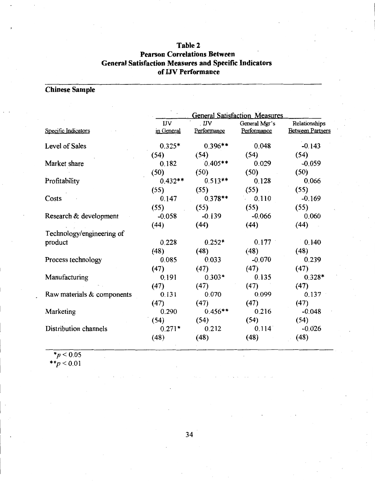## **Table 2 Pearson Correlations Between General Satisfaction Measures and Specific Indicators of IJV Performance**

# **Chinese Sample**

|                            | <b>General Satisfaction Measures</b> |                             |               |                         |  |  |  |  |
|----------------------------|--------------------------------------|-----------------------------|---------------|-------------------------|--|--|--|--|
|                            | <b>IJV</b>                           | $\overline{\mathbf{I}}$ IJV | General Mgr's | Relationships           |  |  |  |  |
| Specific Indicators        | in General                           | Performance                 | Performance   | <b>Between Partners</b> |  |  |  |  |
| Level of Sales             | $0.325*$                             | $0.396**$                   | 0.048         | $-0.143$                |  |  |  |  |
|                            | (54)                                 | (54)                        | (54)          | (54)                    |  |  |  |  |
| Market share               | 0.182                                | $0.405**$                   | 0.029         | $-0.059$                |  |  |  |  |
|                            | (50)                                 | (50)                        | (50)          | (50)                    |  |  |  |  |
| Profitability              | $0.432**$                            | $0.513**$                   | 0.128         | 0.066                   |  |  |  |  |
|                            | (55)                                 | (55)                        | (55)          | (55)                    |  |  |  |  |
| Costs                      | 0.147                                | $0.378**$                   | 0.110         | $-0.169$                |  |  |  |  |
|                            | (55)                                 | (55)                        | (55)          | (55)                    |  |  |  |  |
| Research & development     | $-0.058$                             | $-0.139$                    | $-0.066$      | 0.060                   |  |  |  |  |
|                            | (44)                                 | (44)                        | (44)          | (44)                    |  |  |  |  |
| Technology/engineering of  |                                      |                             |               |                         |  |  |  |  |
| product                    | 0.228                                | $0.252*$                    | 0.177         | 0.140                   |  |  |  |  |
|                            | (48)                                 | (48)                        | (48)          | (48)                    |  |  |  |  |
| Process technology         | 0.085                                | 0.033                       | $-0.070$      | 0.239                   |  |  |  |  |
|                            | (47)                                 | (47)                        | (47)          | (47)                    |  |  |  |  |
| Manufacturing              | 0.191                                | $0.303*$                    | 0.135         | $0.328*$                |  |  |  |  |
|                            | (47)                                 | (47)                        | (47)          | (47)                    |  |  |  |  |
| Raw materials & components | 0.131                                | 0.070                       | 0.099         | 0.137                   |  |  |  |  |
|                            | (47)                                 | (47)                        | (47)          | (47)                    |  |  |  |  |
| Marketing                  | 0.290                                | $0.456**$                   | 0.216         | $-0.048$                |  |  |  |  |
|                            | (54)                                 | (54)                        | (54)          | (54)                    |  |  |  |  |
| Distribution channels      | $0.271*$                             | 0.212                       | 0.114         | $-0.026$                |  |  |  |  |
|                            | (48)                                 | (48)                        | (48)          | (48)                    |  |  |  |  |

*\*p* < 0.05

*\*\*p* < 0.01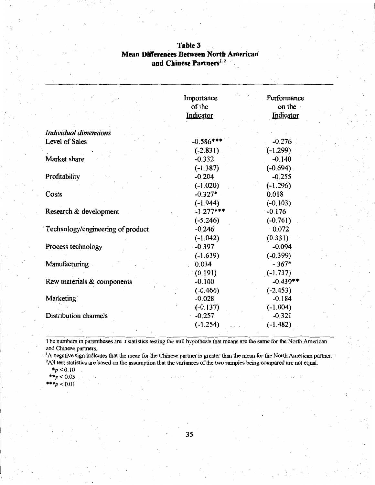|                                   | Importance<br>of the<br>Indicator | Performance<br>on the<br>Indicator |
|-----------------------------------|-----------------------------------|------------------------------------|
| Individual dimensions             |                                   |                                    |
| Level of Sales                    | $-0.586***$                       | $-0.276$                           |
|                                   | $(-2.831)$                        | $(-1.299)$                         |
| Market share                      | $-0.332$                          | $-0.140$                           |
|                                   | $(-1.387)$                        | $(-0.694)$                         |
| Profitability                     | $-0.204$                          | $-0.255$                           |
|                                   | $(-1.020)$                        | $(-1.296)$                         |
| Costs                             | $-0.327*$                         | 0.018                              |
|                                   | $(-1.944)$                        | $(-0.103)$                         |
| Research & development            | $-1.277***$                       | $-0.176$                           |
|                                   | $(-5.246)$                        | $(-0.761)$                         |
| Technology/engineering of product | $-0.246$                          | $-0.072$                           |
|                                   | $(-1.042)$                        | (0.331)                            |
| Process technology                | $-0.397$                          | $-0.094$                           |
|                                   | $(-1.619)$                        | $(-0.399)$                         |
| Manufacturing                     | 0.034                             | $-.367*$                           |
|                                   | (0.191)                           | $(-1.737)$                         |
| Raw materials & components        | $-0.100$                          | $-0.439**$                         |
|                                   | $(-0.466)$                        | $(-2.453)$                         |
| Marketing                         | $-0.028$                          | $-0.184$                           |
|                                   | $(-0.137)$                        | $(-1.004)$                         |
| Distribution channels             | $-0.257$                          | $-0.321$                           |
|                                   | $(-1.254)$                        | $(-1.482)$                         |

## **Table3 Mean Differences Between North American and Chinese Partners<sup>1</sup> ·**  2

The numbers in parentheses are *t* statistics testing the null hypothesis that means are the same for the North American and Chinese partners.

. A negative sign indicates that the mean for the Chinese partner is greater than the mean for the North American partner. <sup>2</sup>All test statistics are based on the assumption that the variances of the two samples being compared are not equal.

 $*_{p}$  < 0.10

 $*^{*}p < 0.05$  $***p < 0.01$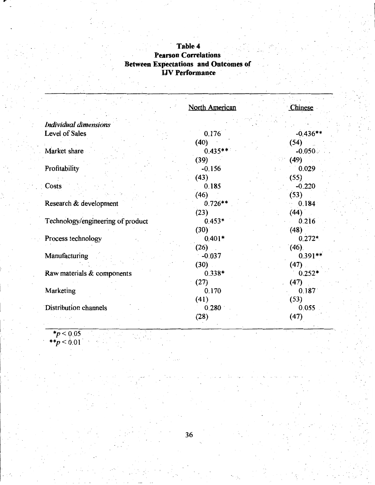## **Table4 Pearson Correlations Between Expectations and Outcomes of**  IJV **Performance**

|                                   | North American | Chinese    |
|-----------------------------------|----------------|------------|
| Individual dimensions             |                |            |
| Level of Sales                    | 0.176          | $-0.436**$ |
|                                   | (40)           | (54)       |
| Market share                      | $0.435**$      | $-0.050$ . |
|                                   | (39)           | (49)       |
| Profitability                     | $-0.156$       | 0.029      |
|                                   |                |            |
|                                   | (43)           | (55)       |
| Costs                             | 0.185          | $-0.220$   |
|                                   | (46)           | (53)       |
| Research & development            | $0.726**$      | 0.184      |
|                                   | (23)           | (44)       |
| Technology/engineering of product | $0.453*$       | 0.216      |
|                                   | (30)           | (48)       |
| Process technology                | $0.401*$       | $0.272*$   |
|                                   | $(26)$ .       | (46)       |
| Manufacturing                     | $-0.037$       | $0.391**$  |
|                                   | (30)           | $(47)$ .   |
| Raw materials & components        | $0.338*$       | $0.252*$   |
|                                   | (27)           | (47)       |
| Marketing                         | 0.170          | 0.187      |
|                                   | (41)           | (53)       |
| Distribution channels             | 0.280          | 0.055      |
|                                   | (28)           | (47)       |
|                                   |                |            |

*\*p* < 0.05 *\*\*p* < 0.01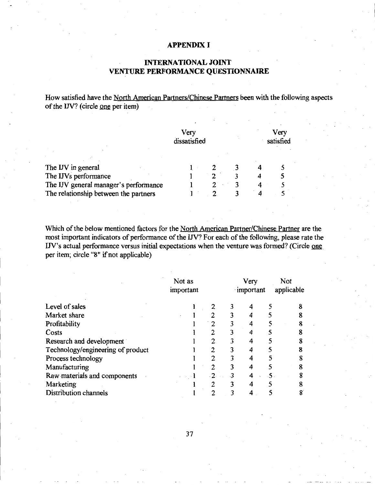### **APPENDIX I**

## **INTERNATIONAL JOINT VENTURE PERFORMANCE QUESTIONNAIRE**

How satisfied have the North American Partners/Chinese Partners been with the following aspects of the IJV? (circle one per item)

|                                       | Very<br>dissatisfied |  | Very<br>satisfied |
|---------------------------------------|----------------------|--|-------------------|
|                                       |                      |  |                   |
| The IJV in general                    |                      |  |                   |
| The IJVs performance                  |                      |  |                   |
| The IJV general manager's performance |                      |  |                   |
| The relationship between the partners |                      |  |                   |

Which of the below mentioned factors for the North American Partner/Chinese Partner are the most important indicators of performance of the IN? For each of the following, please rate the IJV's actual performance versus initial expectations when the venture was formed? (Circle one per item; circle "8" if not applicable)

|                                   | Not as<br>important |           |   | Very<br>important |   | Not<br>applicable |  |
|-----------------------------------|---------------------|-----------|---|-------------------|---|-------------------|--|
| Level of sales                    |                     |           | 3 |                   |   |                   |  |
| Market share                      |                     | 2         |   |                   |   |                   |  |
| Profitability                     |                     | າ         | 3 |                   |   |                   |  |
| Costs                             |                     | 2         |   | 4                 |   |                   |  |
| Research and development          |                     | 2         | 3 | 4                 | 5 |                   |  |
| Technology/engineering of product |                     | 2         | 3 |                   |   |                   |  |
| Process technology                |                     | 2         |   |                   |   |                   |  |
| Manufacturing                     |                     | 2         | 3 | 4                 | 5 |                   |  |
| Raw materials and components      |                     | $\cdot$ 2 | 3 |                   |   |                   |  |
| Marketing                         |                     | 2         | 3 |                   |   |                   |  |
| <b>Distribution channels</b>      |                     | 2         |   |                   |   |                   |  |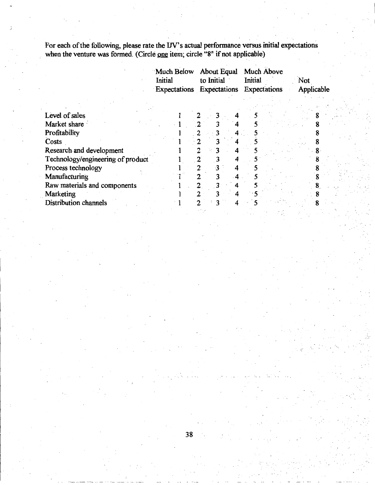For each of the following, please rate the IJV's actual performance versus initial expectations when the venture was formed. (Circle one item; circle "8" if not applicable)

|                                   | Much Below<br>Initial | About Equal<br>to Initial<br>Expectations Expectations | <b>Much Above</b><br>Initial<br>Expectations | Not<br>Applicable |
|-----------------------------------|-----------------------|--------------------------------------------------------|----------------------------------------------|-------------------|
|                                   |                       |                                                        |                                              |                   |
| Level of sales                    |                       |                                                        |                                              |                   |
| Market share                      |                       |                                                        |                                              |                   |
| Profitability                     |                       |                                                        |                                              |                   |
| Costs                             |                       |                                                        |                                              |                   |
| Research and development          |                       |                                                        |                                              |                   |
| Technology/engineering of product |                       |                                                        |                                              |                   |
| Process technology                |                       | 4                                                      |                                              |                   |
| Manufacturing                     |                       |                                                        |                                              |                   |
| Raw materials and components      |                       | 2                                                      |                                              |                   |
| Marketing                         |                       |                                                        |                                              |                   |
| <b>Distribution channels</b>      |                       | 4                                                      |                                              |                   |
|                                   |                       |                                                        |                                              |                   |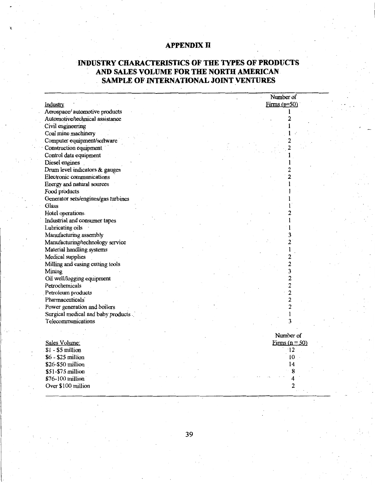# **APPENDIX II**

# **INDUSTRY CHARACTERISTICS OF THE TYPES OF PRODUCTS AND SALES VOLUME FOR THE NORTH AMERICAN. SAMPLE OF INTERNATIONAL JOINT VENTURES**

|                                     |  | Number of               |
|-------------------------------------|--|-------------------------|
| Industry                            |  | $Firms (n=50)$          |
| Aerospace/ automotive products      |  |                         |
| Automotive/technical assistance     |  | 2                       |
| Civil engineering                   |  | 1                       |
| Coal mine machinery                 |  |                         |
| Computer equipment/software         |  |                         |
| Construction equipment              |  | $\overline{2}$          |
| Control data equipment              |  |                         |
| Diesel engines                      |  |                         |
| Drum level indicators & gauges      |  |                         |
| Electronic communications           |  | 2                       |
| Energy and natural sources          |  |                         |
| Food products                       |  |                         |
| Generator sets/engines/gas turbines |  |                         |
| Glass                               |  |                         |
| Hotel operations                    |  |                         |
| Industrial and consumer tapes       |  |                         |
| Lubricating oils                    |  |                         |
| Manufacturing assembly              |  |                         |
| Manufacturing/technology service    |  | $\overline{2}$          |
| Material handling systems           |  |                         |
| Medical supplies                    |  | 2                       |
| Milling and casing cutting tools    |  | $\overline{c}$          |
| Mining                              |  | 3                       |
| Oil well/logging equipment          |  | $\overline{c}$          |
| Petrochemicals                      |  | $\overline{2}$          |
| Petroleum products                  |  | $\overline{\mathbf{c}}$ |
| Pharmaceuticals <sup>®</sup>        |  | $\overline{2}$          |
| Power generation and boilers        |  | 2                       |
| Surgical medical and baby products  |  | 1                       |
| Telecommunications                  |  | 3                       |
|                                     |  |                         |
|                                     |  | Number of               |
| Sales Volume:                       |  | Firms $(n = 50)$        |
| $$1 - $5$ million                   |  | $\overline{12}$         |
| \$6 - \$25 million                  |  | $10$ .                  |
| \$26-\$50 million                   |  | 14                      |
| \$51-\$75 million                   |  | 8                       |
| \$76-100 million                    |  | 4                       |
| Over \$100 million                  |  | 2                       |
|                                     |  |                         |